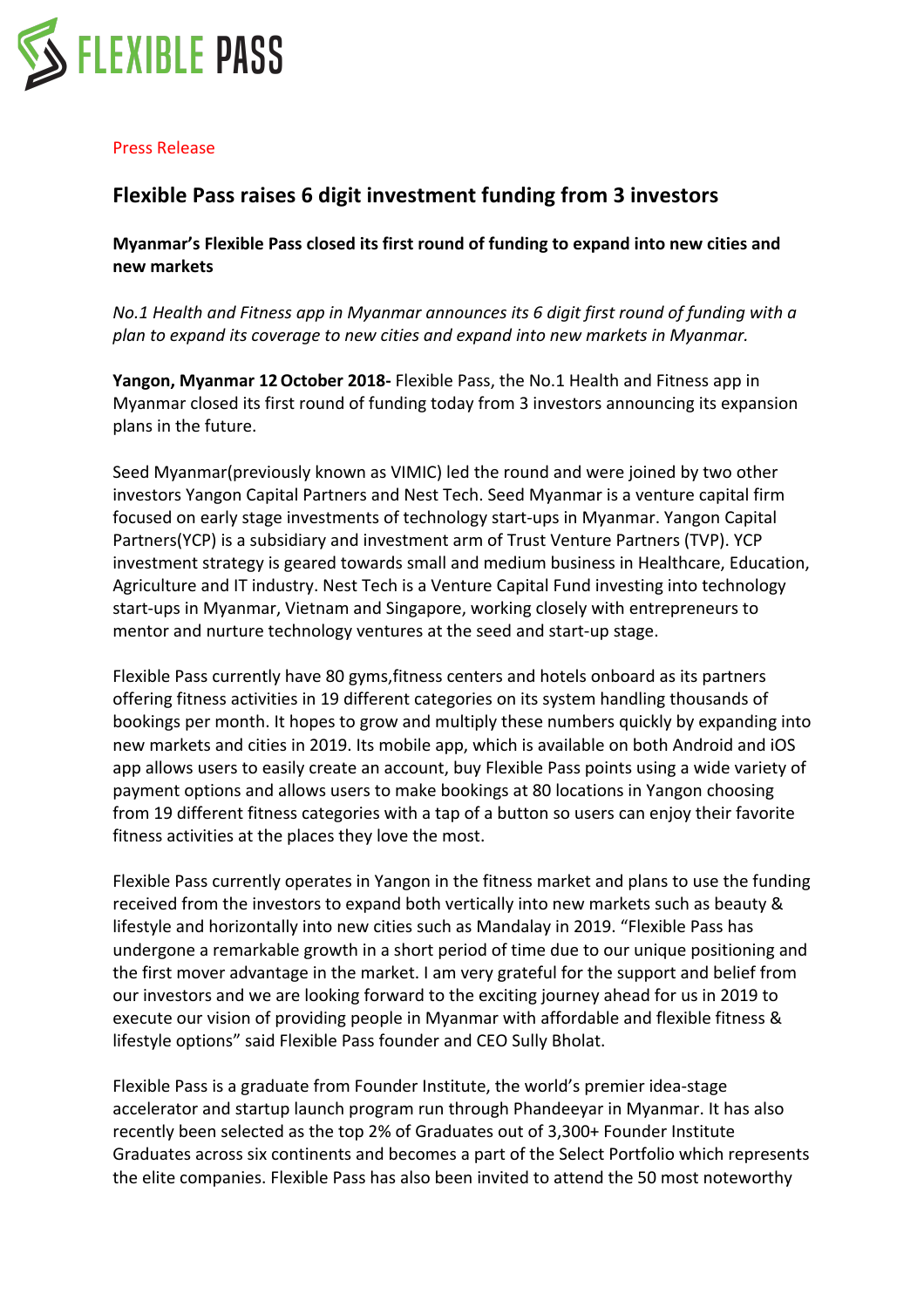

## Press Release

## **Flexible Pass raises 6 digit investment funding from 3 investors**

**Myanmar's Flexible Pass closed its first round of funding to expand into new cities and new markets**

*No.1* Health and Fitness app in Myanmar announces its 6 digit first round of funding with a *plan* to expand its coverage to new cities and expand into new markets in Myanmar.

Yangon, Myanmar 12 October 2018- Flexible Pass, the No.1 Health and Fitness app in Myanmar closed its first round of funding today from 3 investors announcing its expansion plans in the future.

Seed Myanmar(previously known as VIMIC) led the round and were joined by two other investors Yangon Capital Partners and Nest Tech. Seed Myanmar is a venture capital firm focused on early stage investments of technology start-ups in Myanmar. Yangon Capital Partners(YCP) is a subsidiary and investment arm of Trust Venture Partners (TVP). YCP investment strategy is geared towards small and medium business in Healthcare, Education, Agriculture and IT industry. Nest Tech is a Venture Capital Fund investing into technology start-ups in Myanmar, Vietnam and Singapore, working closely with entrepreneurs to mentor and nurture technology ventures at the seed and start-up stage.

Flexible Pass currently have 80 gyms, fitness centers and hotels onboard as its partners offering fitness activities in 19 different categories on its system handling thousands of bookings per month. It hopes to grow and multiply these numbers quickly by expanding into new markets and cities in 2019. Its mobile app, which is available on both Android and iOS app allows users to easily create an account, buy Flexible Pass points using a wide variety of payment options and allows users to make bookings at 80 locations in Yangon choosing from 19 different fitness categories with a tap of a button so users can enjoy their favorite fitness activities at the places they love the most.

Flexible Pass currently operates in Yangon in the fitness market and plans to use the funding received from the investors to expand both vertically into new markets such as beauty & lifestyle and horizontally into new cities such as Mandalay in 2019. "Flexible Pass has undergone a remarkable growth in a short period of time due to our unique positioning and the first mover advantage in the market. I am very grateful for the support and belief from our investors and we are looking forward to the exciting journey ahead for us in 2019 to execute our vision of providing people in Myanmar with affordable and flexible fitness & lifestyle options" said Flexible Pass founder and CEO Sully Bholat.

Flexible Pass is a graduate from Founder Institute, the world's premier idea-stage accelerator and startup launch program run through Phandeeyar in Myanmar. It has also recently been selected as the top 2% of Graduates out of 3,300+ Founder Institute Graduates across six continents and becomes a part of the Select Portfolio which represents the elite companies. Flexible Pass has also been invited to attend the 50 most noteworthy